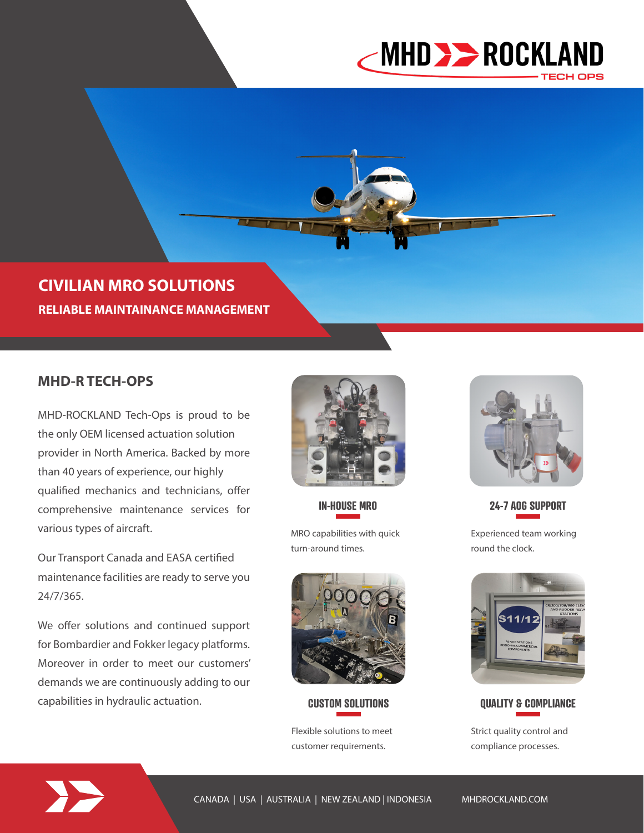

**CIVILIAN MRO SOLUTIONS RELIABLE MAINTAINANCE MANAGEMENT**

## **MHD-R TECH-OPS**

MHD-ROCKLAND Tech-Ops is proud to be the only OEM licensed actuation solution provider in North America. Backed by more than 40 years of experience, our highly qualified mechanics and technicians, offer comprehensive maintenance services for various types of aircraft.

Our Transport Canada and EASA certified maintenance facilities are ready to serve you 24/7/365.

We offer solutions and continued support for Bombardier and Fokker legacy platforms. Moreover in order to meet our customers' demands we are continuously adding to our capabilities in hydraulic actuation.



**IN-HOUSE MRO** 

MRO capabilities with quick turn-around times.



### **CUSTOM SOLUTIONS**

Flexible solutions to meet customer requirements.



**24-7 AOG SUPPORT**

Experienced team working round the clock.



**QUALITY & COMPLIANCE**

Strict quality control and compliance processes.